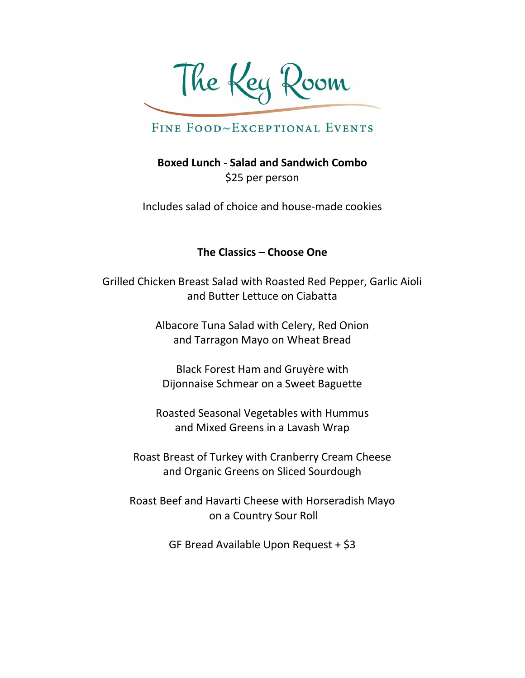The Key Room

**Boxed Lunch - Salad and Sandwich Combo** \$25 per person

Includes salad of choice and house-made cookies

#### **The Classics – Choose One**

Grilled Chicken Breast Salad with Roasted Red Pepper, Garlic Aioli and Butter Lettuce on Ciabatta

> Albacore Tuna Salad with Celery, Red Onion and Tarragon Mayo on Wheat Bread

Black Forest Ham and Gruyère with Dijonnaise Schmear on a Sweet Baguette

Roasted Seasonal Vegetables with Hummus and Mixed Greens in a Lavash Wrap

Roast Breast of Turkey with Cranberry Cream Cheese and Organic Greens on Sliced Sourdough

Roast Beef and Havarti Cheese with Horseradish Mayo on a Country Sour Roll

GF Bread Available Upon Request + \$3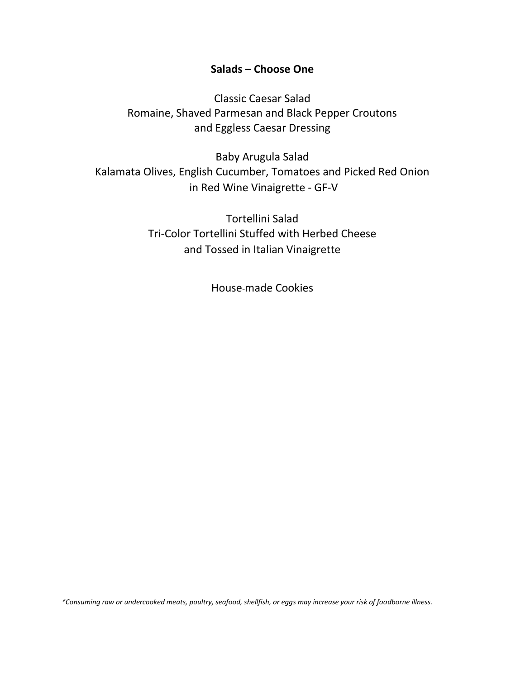#### **Salads – Choose One**

Classic Caesar Salad Romaine, Shaved Parmesan and Black Pepper Croutons and Eggless Caesar Dressing

Baby Arugula Salad Kalamata Olives, English Cucumber, Tomatoes and Picked Red Onion in Red Wine Vinaigrette - GF-V

> Tortellini Salad Tri-Color Tortellini Stuffed with Herbed Cheese and Tossed in Italian Vinaigrette

> > House-made Cookies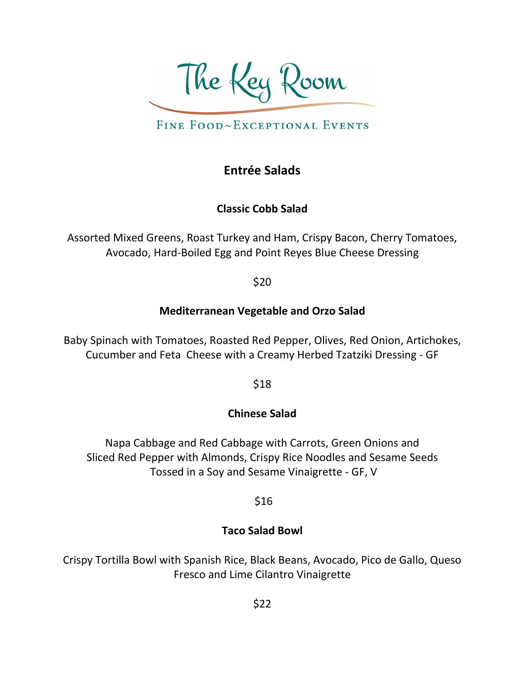The Key Room

## **Entrée Salads**

### **Classic Cobb Salad**

Assorted Mixed Greens, Roast Turkey and Ham, Crispy Bacon, Cherry Tomatoes, Avocado, Hard-Boiled Egg and Point Reyes Blue Cheese Dressing

\$20

### **Mediterranean Vegetable and Orzo Salad**

Baby Spinach with Tomatoes, Roasted Red Pepper, Olives, Red Onion, Artichokes, Cucumber and Feta Cheese with a Creamy Herbed Tzatziki Dressing - GF

\$18

### **Chinese Salad**

Napa Cabbage and Red Cabbage with Carrots, Green Onions and Sliced Red Pepper with Almonds, Crispy Rice Noodles and Sesame Seeds Tossed in a Soy and Sesame Vinaigrette - GF, V

\$16

### **Taco Salad Bowl**

Crispy Tortilla Bowl with Spanish Rice, Black Beans, Avocado, Pico de Gallo, Queso Fresco and Lime Cilantro Vinaigrette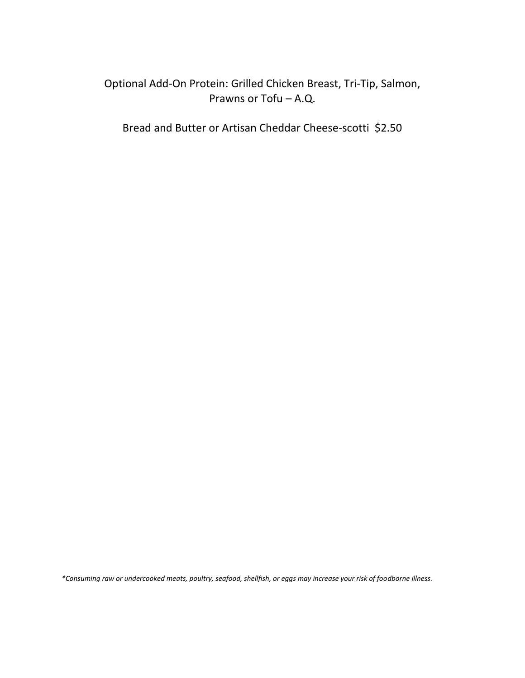### Optional Add-On Protein: Grilled Chicken Breast, Tri-Tip, Salmon, Prawns or Tofu – A.Q.

Bread and Butter or Artisan Cheddar Cheese-scotti \$2.50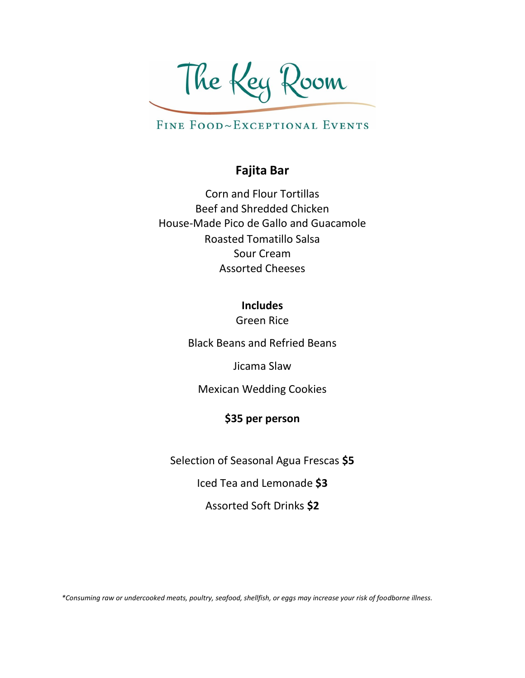The Key Room

### **Fajita Bar**

Corn and Flour Tortillas Beef and Shredded Chicken House-Made Pico de Gallo and Guacamole Roasted Tomatillo Salsa Sour Cream Assorted Cheeses

> **Includes** Green Rice

Black Beans and Refried Beans

Jicama Slaw

Mexican Wedding Cookies

#### **\$35 per person**

Selection of Seasonal Agua Frescas **\$5**

Iced Tea and Lemonade **\$3**

Assorted Soft Drinks **\$2**